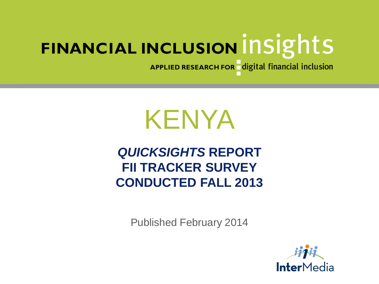APPLIED RESEARCH FOR digital financial inclusion

# KENYA

## *QUICKSIGHTS* **REPORT FII TRACKER SURVEY CONDUCTED FALL 2013**

Published February 2014

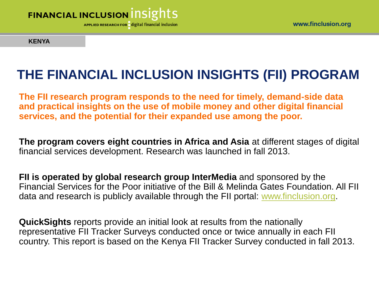

**KENYA**

## **THE FINANCIAL INCLUSION INSIGHTS (FII) PROGRAM**

**The FII research program responds to the need for timely, demand-side data and practical insights on the use of mobile money and other digital financial services, and the potential for their expanded use among the poor.** 

**The program covers eight countries in Africa and Asia** at different stages of digital financial services development. Research was launched in fall 2013.

**FII is operated by global research group InterMedia** and sponsored by the Financial Services for the Poor initiative of the Bill & Melinda Gates Foundation. All FII data and research is publicly available through the FII portal: [www.finclusion.org](http://www.finclusion.org/).

**QuickSights** reports provide an initial look at results from the nationally representative FII Tracker Surveys conducted once or twice annually in each FII country. This report is based on the Kenya FII Tracker Survey conducted in fall 2013.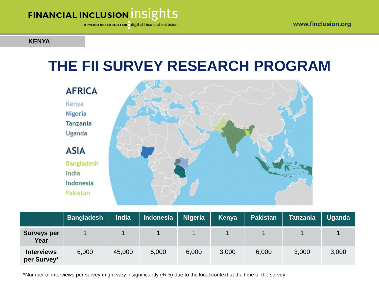APPLIED RESEARCH FOR digital financial inclusion

#### **KENYA**

## **THE FII SURVEY RESEARCH PROGRAM**



|                                  | <b>Bangladesh</b> | <b>India</b> | Indonesia | <b>Nigeria</b> | Kenya | <b>Pakistan</b> | <b>Tanzania</b> | <b>Uganda</b> |
|----------------------------------|-------------------|--------------|-----------|----------------|-------|-----------------|-----------------|---------------|
| <b>Surveys per</b><br>Year       |                   |              |           |                |       |                 |                 |               |
| <b>Interviews</b><br>per Survey* | 6,000             | 45,000       | 6,000     | 6,000          | 3,000 | 6,000           | 3,000           | 3,000         |

\*Number of interviews per survey might vary insignificantly (+/-5) due to the local context at the time of the survey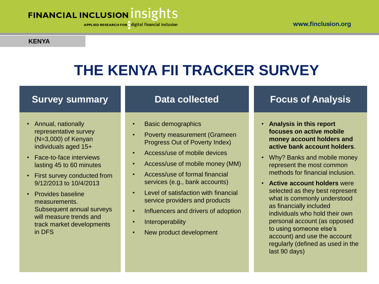APPLIED RESEARCH FOR digital financial inclusion

#### **KENYA**

## **THE KENYA FII TRACKER SURVEY**

### **Survey summary**

- Annual, nationally representative survey (N=3,000) of Kenyan individuals aged 15+
- Face-to-face interviews lasting 45 to 60 minutes
- First survey conducted from 9/12/2013 to 10/4/2013
- Provides baseline measurements. Subsequent annual surveys will measure trends and track market developments in DFS

### **Data collected**

- Basic demographics
- Poverty measurement (Grameen Progress Out of Poverty Index)
- Access/use of mobile devices
- Access/use of mobile money (MM)
- Access/use of formal financial services (e.g., bank accounts)
- Level of satisfaction with financial service providers and products
- Influencers and drivers of adoption
- Interoperability
- New product development

### **Focus of Analysis**

- **Analysis in this report focuses on active mobile money account holders and active bank account holders**.
- Why? Banks and mobile money represent the most common methods for financial inclusion.
- **Active account holders** were selected as they best represent what is commonly understood as financially included individuals who hold their own personal account (as opposed to using someone else's account) and use the account regularly (defined as used in the last 90 days)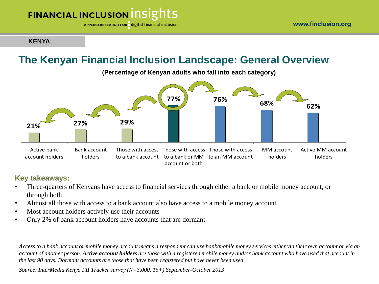APPLIED RESEARCH FOR digital financial inclusion

#### **KENYA**

### **The Kenyan Financial Inclusion Landscape: General Overview**



### **Key takeaways:**

- Three-quarters of Kenyans have access to financial services through either a bank or mobile money account, or through both
- Almost all those with access to a bank account also have access to a mobile money account
- Most account holders actively use their accounts
- Only 2% of bank account holders have accounts that are dormant

*Access to a bank account or mobile money account means a respondent can use bank/mobile money services either via their own account or via an account of another person. Active account holders are those with a registered mobile money and/or bank account who have used that account in the last 90 days. Dormant accounts are those that have been registered but have never been used.*

*Source: InterMedia Kenya FII Tracker survey (N=3,000, 15+) September-October 2013*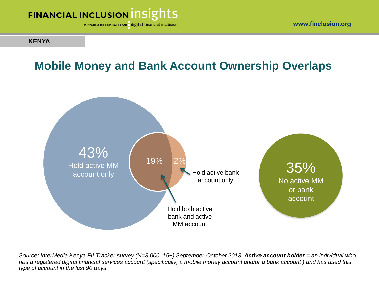

APPLIED RESEARCH FOR digital financial inclusion

#### **KENYA**

### **Mobile Money and Bank Account Ownership Overlaps**



*Source: InterMedia Kenya FII Tracker survey (N=3,000, 15+) September-October 2013. Active account holder = an individual who has a registered digital financial services account (specifically, a mobile money account and/or a bank account ) and has used this type of account in the last 90 days*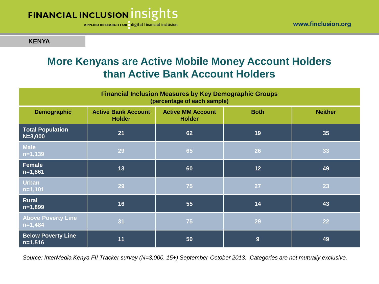

www.finclusion.org

#### **KENYA**

### **More Kenyans are Active Mobile Money Account Holders than Active Bank Account Holders**

| <b>Financial Inclusion Measures by Key Demographic Groups</b><br>(percentage of each sample) |                                                                                                         |    |    |                |  |  |
|----------------------------------------------------------------------------------------------|---------------------------------------------------------------------------------------------------------|----|----|----------------|--|--|
| <b>Demographic</b>                                                                           | <b>Active Bank Account</b><br><b>Active MM Account</b><br><b>Both</b><br><b>Holder</b><br><b>Holder</b> |    |    | <b>Neither</b> |  |  |
| <b>Total Population</b><br>$N = 3,000$                                                       | 21                                                                                                      | 62 | 19 | 35             |  |  |
| <b>Male</b><br>$n=1,139$                                                                     | 29                                                                                                      | 65 | 26 | 33             |  |  |
| <b>Female</b><br>$n=1,861$                                                                   | 13                                                                                                      | 60 | 12 | 49             |  |  |
| <b>Urban</b><br>$n=1,101$                                                                    | 29                                                                                                      | 75 | 27 | 23             |  |  |
| <b>Rural</b><br>$n=1,899$                                                                    | 16                                                                                                      | 55 | 14 | 43             |  |  |
| <b>Above Poverty Line</b><br>$n=1,484$                                                       | 31                                                                                                      | 75 | 29 | 22             |  |  |
| <b>Below Poverty Line</b><br>$n=1,516$                                                       | 11                                                                                                      | 50 | 9  | 49             |  |  |

*Source: InterMedia Kenya FII Tracker survey (N=3,000, 15+) September-October 2013. Categories are not mutually exclusive.*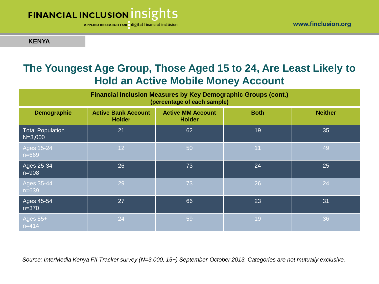

www.finclusion.org

#### **KENYA**

### **The Youngest Age Group, Those Aged 15 to 24, Are Least Likely to Hold an Active Mobile Money Account**

| <b>Financial Inclusion Measures by Key Demographic Groups (cont.)</b><br>(percentage of each sample) |                                             |                                           |             |                |  |  |
|------------------------------------------------------------------------------------------------------|---------------------------------------------|-------------------------------------------|-------------|----------------|--|--|
| <b>Demographic</b>                                                                                   | <b>Active Bank Account</b><br><b>Holder</b> | <b>Active MM Account</b><br><b>Holder</b> | <b>Both</b> | <b>Neither</b> |  |  |
| <b>Total Population</b><br>$N = 3,000$                                                               | 21                                          | 62                                        | 19          | 35             |  |  |
| Ages 15-24<br>$n = 669$                                                                              | 12                                          | 50                                        | 11          | 49             |  |  |
| Ages 25-34<br>$n = 908$                                                                              | 26                                          | 73                                        | 24          | 25             |  |  |
| Ages 35-44<br>$n = 639$                                                                              | 29                                          | 73                                        | 26          | 24             |  |  |
| $\overline{\text{Ages}}$ 45-54<br>$n = 370$                                                          | 27                                          | 66                                        | 23          | 31             |  |  |
| Ages 55+ $^{\circ}$<br>$n = 414$                                                                     | 24                                          | 59                                        | 19          | 36             |  |  |

*Source: InterMedia Kenya FII Tracker survey (N=3,000, 15+) September-October 2013. Categories are not mutually exclusive.*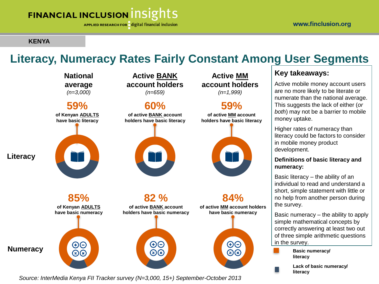APPLIED RESEARCH FOR digital financial inclusion

#### **KENYA**

## **Literacy, Numeracy Rates Fairly Constant Among User Segments**

**National average**  *(n=3,000)* **59% of Kenyan ADULTS**

**Literacy**

**Numeracy**



**Active BANK account holders**  *(n=659)*

**60% of active BANK account** 



**Active MM account holders**  *(n=1,999)*

### **59%**

**of active MM account holders have basic literacy**



**84% of active MM account holders have basic numeracy**



### **Key takeaways:**

Active mobile money account users are no more likely to be literate or numerate than the national average. This suggests the lack of either (*or both*) may not be a barrier to mobile money uptake.

Higher rates of numeracy than literacy could be factors to consider in mobile money product development.

#### **Definitions of basic literacy and numeracy:**

Basic literacy – the ability of an individual to read and understand a short, simple statement with little or no help from another person during the survey.

Basic numeracy – the ability to apply simple mathematical concepts by correctly answering at least two out of three simple arithmetic questions in the survey.

> **Basic numeracy/ literacy**

**Lack of basic numeracy/ literacy**

*Source: InterMedia Kenya FII Tracker survey (N=3,000, 15+) September-October 2013*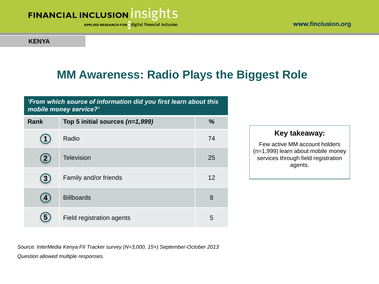APPLIED RESEARCH FOR digital financial inclusion

**KENYA**

## **MM Awareness: Radio Plays the Biggest Role**

*'From which source of information did you first learn about this mobile money service?'*

| Rank                   | Top 5 initial sources $(n=1,999)$ | $\frac{0}{0}$ |
|------------------------|-----------------------------------|---------------|
|                        | Radio                             | 74            |
| $\left 2\right\rangle$ | <b>Television</b>                 | 25            |
| $\mathbf{3}$           | Family and/or friends             | 12            |
| 4                      | <b>Billboards</b>                 | 8             |
| 5                      | Field registration agents         | 5             |

### **Key takeaway:**

Few active MM account holders (n=1,999) learn about mobile money services through field registration agents.

*Source: InterMedia Kenya FII Tracker survey (N=3,000, 15+) September-October 2013 Question allowed multiple responses.*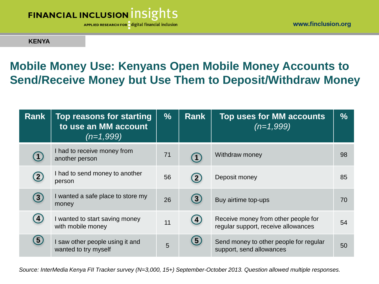

APPLIED RESEARCH FOR digital financial inclusion

**KENYA**

### **Mobile Money Use: Kenyans Open Mobile Money Accounts to Send/Receive Money but Use Them to Deposit/Withdraw Money**

| Rank              | Top reasons for starting<br>to use an MM account<br>$(n=1,999)$ | $\frac{9}{6}$ | <b>Rank</b>       | <b>Top uses for MM accounts</b><br>$(n=1,999)$                             | $\frac{0}{0}$ |
|-------------------|-----------------------------------------------------------------|---------------|-------------------|----------------------------------------------------------------------------|---------------|
| $\left(1\right)$  | I had to receive money from<br>another person                   | 71            | $\left( 1\right)$ | Withdraw money                                                             | 98            |
| $\left( 2\right)$ | I had to send money to another<br>person                        | 56            |                   | Deposit money                                                              | 85            |
| $\binom{3}{}$     | I wanted a safe place to store my<br>money                      | 26            | $\left( 3\right)$ | Buy airtime top-ups                                                        | 70            |
| $\left( 4\right)$ | I wanted to start saving money<br>with mobile money             | 11            | $\left( 4\right)$ | Receive money from other people for<br>regular support, receive allowances | 54            |
| $\left( 5\right)$ | I saw other people using it and<br>wanted to try myself         | 5             | $\left(5\right)$  | Send money to other people for regular<br>support, send allowances         | 50            |

*Source: InterMedia Kenya FII Tracker survey (N=3,000, 15+) September-October 2013. Question allowed multiple responses.*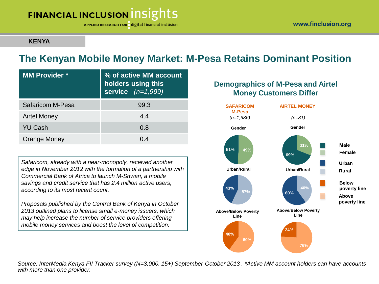APPLIED RESEARCH FOR digital financial inclusion

#### **KENYA**

### **The Kenyan Mobile Money Market: M-Pesa Retains Dominant Position**

| <b>MM Provider *</b> | % of active MM account<br>holders using this<br>service $(n=1,999)$ |
|----------------------|---------------------------------------------------------------------|
| Safaricom M-Pesa     | 99.3                                                                |
| <b>Airtel Money</b>  | 4.4                                                                 |
| <b>YU Cash</b>       | 0.8                                                                 |
| Orange Money         | 0.4                                                                 |

*Safaricom, already with a near-monopoly, received another edge in November 2012 with the formation of a partnership with Commercial Bank of Africa to launch M-Shwari, a mobile savings and credit service that has 2.4 million active users, according to its most recent count.*

*Proposals published by the Central Bank of Kenya in October 2013 outlined plans to license small e-money issuers, which may help increase the number of service providers offering mobile money services and boost the level of competition.*

### **Demographics of M-Pesa and Airtel Money Customers Differ**



*Source: InterMedia Kenya FII Tracker survey (N=3,000, 15+) September-October 2013 . \*Active MM account holders can have accounts with more than one provider.*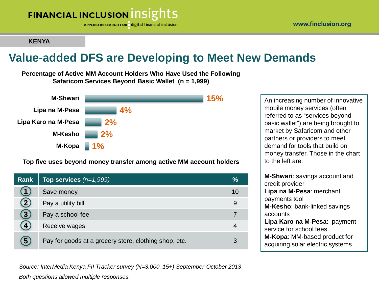#### www.finclusion.org

## FINANCIAL INCLUSION INSIGHTS

APPLIED RESEARCH FOR digital financial inclusion

**KENYA**

### **Value-added DFS are Developing to Meet New Demands**

**Percentage of Active MM Account Holders Who Have Used the Following Safaricom Services Beyond Basic Wallet (n = 1,999)**



**Top five uses beyond money transfer among active MM account holders** 

| Rank         | Top services $(n=1,999)$                              | $\frac{0}{0}$ |
|--------------|-------------------------------------------------------|---------------|
|              | Save money                                            | 10            |
|              | Pay a utility bill                                    | 9             |
| $\mathbf{3}$ | Pay a school fee                                      |               |
| 4            | Receive wages                                         | 4             |
| 5            | Pay for goods at a grocery store, clothing shop, etc. | 3             |

*Source: InterMedia Kenya FII Tracker survey (N=3,000, 15+) September-October 2013 Both questions allowed multiple responses.*

An increasing number of innovative mobile money services (often referred to as "services beyond basic wallet") are being brought to market by Safaricom and other partners or providers to meet demand for tools that build on money transfer. Those in the chart to the left are:

**M-Shwari**: savings account and credit provider **Lipa na M-Pesa**: merchant payments tool **M-Kesho**: bank-linked savings accounts **Lipa Karo na M-Pesa**: payment service for school fees **M-Kopa**: MM-based product for acquiring solar electric systems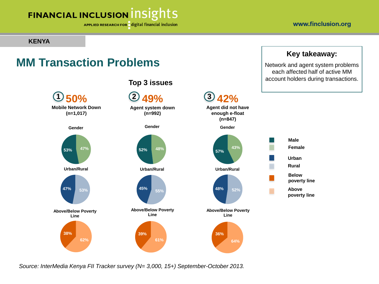APPLIED RESEARCH FOR digital financial inclusion

#### **KENYA**

### **MM Transaction Problems**



## **49% Agent system down (n=992) 52% 48% Gender 55% 45% Urban/Rural 61% Above/Below Poverty Line <sup>2</sup> 42%**

**Top 3 issues**

### **43% 57% Gender 48% 52% Urban/Rural Above/Below Poverty Line Agent did not have enough e-float (n=847) 3**

**64%**

**36%**

### **Key takeaway:**

Network and agent system problems each affected half of active MM account holders during transactions.



*Source: InterMedia Kenya FII Tracker survey (N= 3,000, 15+) September-October 2013.*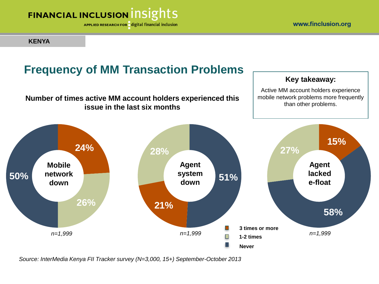APPLIED RESEARCH FOR digital financial inclusion

#### **KENYA**

## **Frequency of MM Transaction Problems**

### **Number of times active MM account holders experienced this issue in the last six months**

### **Key takeaway:**

Active MM account holders experience mobile network problems more frequently than other problems.



*Source: InterMedia Kenya FII Tracker survey (N=3,000, 15+) September-October 2013*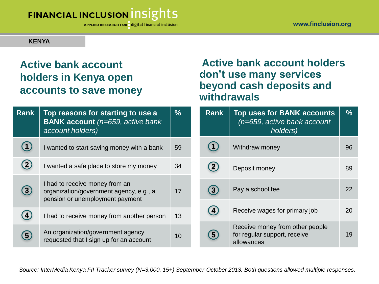APPLIED RESEARCH FOR digital financial inclusion

#### **KENYA**

### **Active bank account holders in Kenya open accounts to save money**

### **Active bank account holders don't use many services beyond cash deposits and withdrawals**

| <b>Rank</b>       | Top reasons for starting to use a<br><b>BANK account</b> (n=659, active bank)<br>account holders)            | $\frac{9}{6}$ | <b>Rank</b>       | <b>Top uses for BANK accounts</b><br>$(n=659, \text{ active bank account})$<br>holders) | $\frac{9}{6}$ |
|-------------------|--------------------------------------------------------------------------------------------------------------|---------------|-------------------|-----------------------------------------------------------------------------------------|---------------|
|                   | I wanted to start saving money with a bank                                                                   | 59            |                   | Withdraw money                                                                          | 96            |
| $\left( 2\right)$ | I wanted a safe place to store my money                                                                      | 34            | $\mathbf{2}$      | Deposit money                                                                           | 89            |
| $\left( 3\right)$ | I had to receive money from an<br>organization/government agency, e.g., a<br>pension or unemployment payment | 17            | $\left( 3\right)$ | Pay a school fee                                                                        | 22            |
|                   | I had to receive money from another person                                                                   | 13            | $\left( 4\right)$ | Receive wages for primary job                                                           | 20            |
| $\left(5\right)$  | An organization/government agency<br>requested that I sign up for an account                                 | 10            | 5                 | Receive money from other people<br>for regular support, receive<br>allowances           | 19            |

*Source: InterMedia Kenya FII Tracker survey (N=3,000, 15+) September-October 2013. Both questions allowed multiple responses.*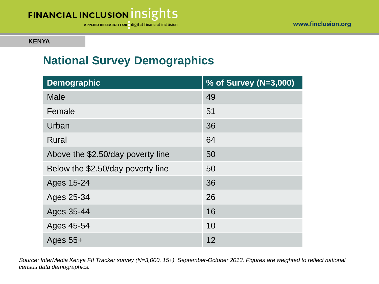



#### **KENYA**

### **National Survey Demographics**

| Demographic                       | % of Survey (N=3,000) |
|-----------------------------------|-----------------------|
| <b>Male</b>                       | 49                    |
| Female                            | 51                    |
| Urban                             | 36                    |
| <b>Rural</b>                      | 64                    |
| Above the \$2.50/day poverty line | 50                    |
| Below the \$2.50/day poverty line | 50                    |
| Ages 15-24                        | 36                    |
| Ages 25-34                        | 26                    |
| Ages 35-44                        | 16                    |
| Ages 45-54                        | 10                    |
| Ages $55+$                        | 12                    |

*Source: InterMedia Kenya FII Tracker survey (N=3,000, 15+) September-October 2013. Figures are weighted to reflect national census data demographics.*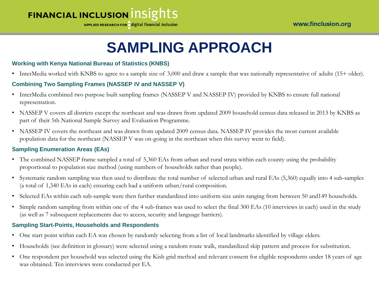

## **SAMPLING APPROACH**

#### **Working with Kenya National Bureau of Statistics (KNBS)**

• InterMedia worked with KNBS to agree to a sample size of 3,000 and draw a sample that was nationally representative of adults (15+ older).

#### **Combining Two Sampling Frames (NASSEP IV and NASSEP V)**

- InterMedia combined two purpose built sampling frames (NASSEP V and NASSEP IV) provided by KNBS to ensure full national representation.
- NASSEP V covers all districts except the northeast and was drawn from updated 2009 household census data released in 2013 by KNBS as part of their 5th National Sample Survey and Evaluation Programme.
- NASSEP IV covers the northeast and was drawn from updated 2009 census data. NASSEP IV provides the most current available population data for the northeast (NASSEP V was on-going in the northeast when this survey went to field).

#### **Sampling Enumeration Areas (EAs)**

- The combined NASSEP frame sampled a total of 5,360 EAs from urban and rural strata within each county using the probability proportional to population size method (using numbers of households rather than people).
- Systematic random sampling was then used to distribute the total number of selected urban and rural EAs (5,360) equally into 4 sub-samples (a total of 1,340 EAs in each) ensuring each had a uniform urban/rural composition.
- Selected EAs within each sub-sample were then further standardized into uniform size units ranging from between 50 and149 households.
- Simple random sampling from within one of the 4 sub-frames was used to select the final 300 EAs (10 interviews in each) used in the study (as well as 7 subsequent replacements due to access, security and language barriers).

#### **Sampling Start-Points, Households and Respondents**

- One start point within each EA was chosen by randomly selecting from a list of local landmarks identified by village elders.
- Households (see definition in glossary) were selected using a random route walk, standardized skip pattern and process for substitution.
- One respondent per household was selected using the Kish grid method and relevant consent for eligible respondents under 18 years of age was obtained. Ten interviews were conducted per EA.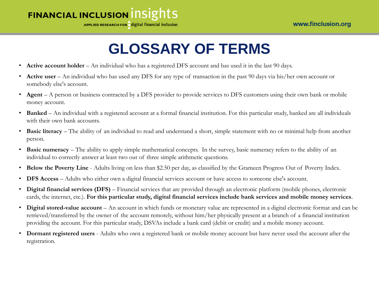APPLIED RESEARCH FOR digital financial inclusion

## **GLOSSARY OF TERMS**

- **Active account holder** An individual who has a registered DFS account and has used it in the last 90 days.
- **Active user** An individual who has used any DFS for any type of transaction in the past 90 days via his/her own account or somebody else's account.
- **Agent** A person or business contracted by a DFS provider to provide services to DFS customers using their own bank or mobile money account.
- **Banked** An individual with a registered account at a formal financial institution. For this particular study, banked are all individuals with their own bank accounts.
- **Basic literacy**  The ability of an individual to read and understand a short, simple statement with no or minimal help from another person.
- **Basic numeracy**  The ability to apply simple mathematical concepts. In the survey, basic numeracy refers to the ability of an individual to correctly answer at least two out of three simple arithmetic questions.
- **Below the Poverty Line**  Adults living on less than \$2.50 per day, as classified by the Grameen Progress Out of Poverty Index.
- **DFS Access** Adults who either own a digital financial services account or have access to someone else's account.
- **Digital financial services (DFS)** Financial services that are provided through an electronic platform (mobile phones, electronic cards, the internet, etc.). **For this particular study, digital financial services include bank services and mobile money services**.
- **Digital stored-value account**  An account in which funds or monetary value are represented in a digital electronic format and can be retrieved/transferred by the owner of the account remotely, without him/her physically present at a branch of a financial institution providing the account. For this particular study, DSVAs include a bank card (debit or credit) and a mobile money account.
- **Dormant registered users**  Adults who own a registered bank or mobile money account but have never used the account after the registration.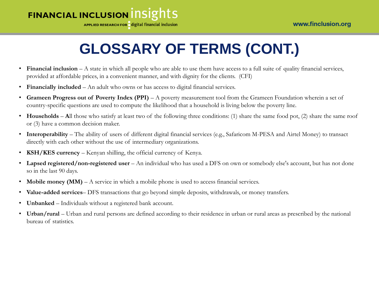

## **GLOSSARY OF TERMS (CONT.)**

- **Financial inclusion** A state in which all people who are able to use them have access to a full suite of quality financial services, provided at affordable prices, in a convenient manner, and with dignity for the clients. (CFI)
- **Financially included**  An adult who owns or has access to digital financial services.
- **Grameen Progress out of Poverty Index (PPI)**  A poverty measurement tool from the Grameen Foundation wherein a set of country-specific questions are used to compute the likelihood that a household is living below the poverty line.
- **Households** All those who satisfy at least two of the following three conditions: (1) share the same food pot, (2) share the same roof or (3) have a common decision maker.
- **Interoperability** The ability of users of different digital financial services (e.g., Safaricom M-PESA and Airtel Money) to transact directly with each other without the use of intermediary organizations.
- **KSH/KES currency**  Kenyan shilling, the official currency of Kenya.
- Lapsed registered/non-registered user An individual who has used a DFS on own or somebody else's account, but has not done so in the last 90 days.
- **Mobile money (MM)** A service in which a mobile phone is used to access financial services.
- **Value-added services** DFS transactions that go beyond simple deposits, withdrawals, or money transfers.
- **Unbanked** Individuals without a registered bank account.
- Urban/rural Urban and rural persons are defined according to their residence in urban or rural areas as prescribed by the national bureau of statistics.